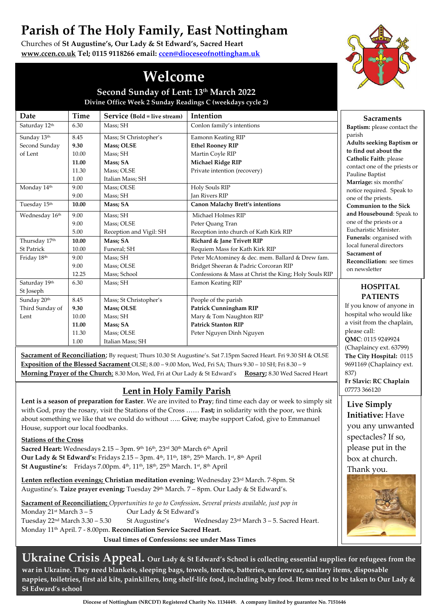# **Parish of The Holy Family, East Nottingham**

Churches of **St Augustine's, Our Lady & St Edward's, Sacred Heart [www.ccen.co.uk](http://www.ccen.co.uk/) Tel; 0115 9118266 email[: ccen@dioceseofnottingham.uk](mailto:ccen@dioceseofnottingham.uk)**



## **Welcome**

**Second Sunday of Lent: 13th March 2022 Divine Office Week 2 Sunday Readings C (weekdays cycle 2)**

| Date              | Time  | Service (Bold = live stream) | Intention                                             | <b>Sacraments</b>                                                                                                                                                                                                                                                                            |
|-------------------|-------|------------------------------|-------------------------------------------------------|----------------------------------------------------------------------------------------------------------------------------------------------------------------------------------------------------------------------------------------------------------------------------------------------|
| Saturday 12th     | 6.30  | Mass; SH                     | Conlon family's intentions                            | Baptism: please contact the                                                                                                                                                                                                                                                                  |
| Sunday 13th       | 8.45  | Mass; St Christopher's       | Eamonn Keating RIP                                    | parish<br><b>Adults seeking Baptism or</b><br>to find out about the<br>Catholic Faith: please                                                                                                                                                                                                |
| Second Sunday     | 9.30  | Mass; OLSE                   | <b>Ethel Rooney RIP</b>                               |                                                                                                                                                                                                                                                                                              |
| of Lent           | 10.00 | Mass; SH                     | Martin Coyle RIP                                      |                                                                                                                                                                                                                                                                                              |
|                   | 11.00 | Mass; SA                     | <b>Michael Ridge RIP</b>                              |                                                                                                                                                                                                                                                                                              |
|                   | 11.30 | Mass; OLSE                   | Private intention (recovery)                          | contact one of the priests or                                                                                                                                                                                                                                                                |
|                   | 1.00  | Italian Mass; SH             |                                                       | Pauline Baptist<br>Marriage: six months'                                                                                                                                                                                                                                                     |
| Monday 14th       | 9.00  | Mass; OLSE                   | Holy Souls RIP                                        | notice required. Speak to<br>one of the priests.<br><b>Communion to the Sick</b><br>and Housebound: Speak to<br>one of the priests or a<br>Eucharistic Minister.<br>Funerals: organised with<br>local funeral directors<br>Sacrament of<br><b>Reconciliation:</b> see times<br>on newsletter |
|                   | 9.00  | Mass; SH                     | <b>Jan Rivers RIP</b>                                 |                                                                                                                                                                                                                                                                                              |
| Tuesday 15th      | 10.00 | Mass; SA                     | <b>Canon Malachy Brett's intentions</b>               |                                                                                                                                                                                                                                                                                              |
| Wednesday 16th    | 9.00  | Mass; SH                     | Michael Holmes RIP                                    |                                                                                                                                                                                                                                                                                              |
|                   | 9.00  | Mass; OLSE                   | Peter Quang Tran                                      |                                                                                                                                                                                                                                                                                              |
|                   | 5.00  | Reception and Vigil: SH      | Reception into church of Kath Kirk RIP                |                                                                                                                                                                                                                                                                                              |
| Thursday 17th     | 10.00 | Mass; SA                     | Richard & Jane Trivett RIP                            |                                                                                                                                                                                                                                                                                              |
| <b>St Patrick</b> | 10.00 | Funeral; SH                  | Requiem Mass for Kath Kirk RIP                        |                                                                                                                                                                                                                                                                                              |
| Friday 18th       | 9.00  | Mass; SH                     | Peter McAtominey & dec. mem. Ballard & Drew fam.      |                                                                                                                                                                                                                                                                                              |
|                   | 9.00  | Mass; OLSE                   | Bridget Sheeran & Padric Corcoran RIP                 |                                                                                                                                                                                                                                                                                              |
|                   | 12.25 | Mass; School                 | Confessions & Mass at Christ the King; Holy Souls RIP |                                                                                                                                                                                                                                                                                              |
| Saturday 19th     | 6.30  | Mass; SH                     | Eamon Keating RIP                                     | <b>HOSPITAL</b>                                                                                                                                                                                                                                                                              |
| St Joseph         |       |                              |                                                       | <b>PATIENTS</b>                                                                                                                                                                                                                                                                              |
| Sunday 20th       | 8.45  | Mass; St Christopher's       | People of the parish                                  | If you know of anyone in                                                                                                                                                                                                                                                                     |
| Third Sunday of   | 9.30  | <b>Mass; OLSE</b>            | <b>Patrick Cunningham RIP</b>                         | hospital who would like                                                                                                                                                                                                                                                                      |
| Lent              | 10.00 | Mass; SH                     | Mary & Tom Naughton RIP                               | a visit from the chaplain,                                                                                                                                                                                                                                                                   |
|                   | 11.00 | Mass; SA                     | <b>Patrick Stanton RIP</b>                            | please call:                                                                                                                                                                                                                                                                                 |
|                   | 11.30 | Mass; OLSE                   | Peter Nguyen Dinh Nguyen                              | OMC: 0115 9249924                                                                                                                                                                                                                                                                            |
|                   | 1.00  | Italian Mass; SH             |                                                       | (Chaplaincy ext. 63799)                                                                                                                                                                                                                                                                      |
|                   |       |                              |                                                       |                                                                                                                                                                                                                                                                                              |

**Sacrament of Reconciliation**; By request; Thurs 10.30 St Augustine's. Sat 7.15pm Sacred Heart. Fri 9.30 SH & OLSE **Exposition of the Blessed Sacrament** OLSE; 8.00 – 9.00 Mon, Wed, Fri SA; Thurs 9.30 – 10 SH; Fri 8.30 – 9 **Morning Prayer of the Church**; 8.30 Mon, Wed, Fri at Our Lady & St Edward's **Rosary;** 8.30 Wed Sacred Heart

#### **Lent in Holy Family Parish**

**Lent is a season of preparation for Easter**. We are invited to **Pray**; find time each day or week to simply sit with God, pray the rosary, visit the Stations of the Cross …… **Fast;** in solidarity with the poor, we think about something we like that we could do without ….. **Give**; maybe support Cafod, give to Emmanuel House, support our local foodbanks.

**Stations of the Cross**

**Sacred Heart:** Wednesdays 2.15 – 3pm. 9th 16th, 23rd 30th March 6th April **Our Lady & St Edward's:** Fridays 2.15 – 3pm. 4th, 11th, 18th, 25th March. 1st, 8th April **St Augustine's:** Fridays 7.00pm. 4<sup>th</sup>, 11<sup>th</sup>, 18<sup>th</sup>, 25<sup>th</sup> March. 1<sup>st</sup>, 8<sup>th</sup> April

**Lenten reflection evenings; Christian meditation evening**; Wednesday 23rd March. 7-8pm. St Augustine's. **Taize prayer evening;** Tuesday 29th March. 7 – 8pm. Our Lady & St Edward's.

**Sacrament of Reconciliation;** *Opportunities to go to Confession***.** *Several priests available, just pop in*  Monday 21<sup>st</sup> March 3 – 5 **Our Lady & St Edward's** Tuesday  $22^{nd}$  March 3.30 – 5.30 St Augustine's Wednesday  $23^{rd}$  March 3 – 5. Sacred Heart. Monday 11th April. 7 - 8.00pm. **Reconciliation Service Sacred Heart.** 

**Usual times of Confessions: see under Mass Times**

**Ukraine Crisis Appeal. Our Lady & St Edward's School is collecting essential supplies for refugees from the war in Ukraine. They need blankets, sleeping bags, towels, torches, batteries, underwear, sanitary items, disposable nappies, toiletries, first aid kits, painkillers, long shelf-life food, including baby food. Items need to be taken to Our Lady & St Edward's school**

9691169 (Chaplaincy ext. 837) **Fr Slavic: RC Chaplain** 07773 366120 **Live Simply Initiative:** Have you any unwanted spectacles? If so, please put in the box at church. Thank you.

**The City Hospital:** 0115